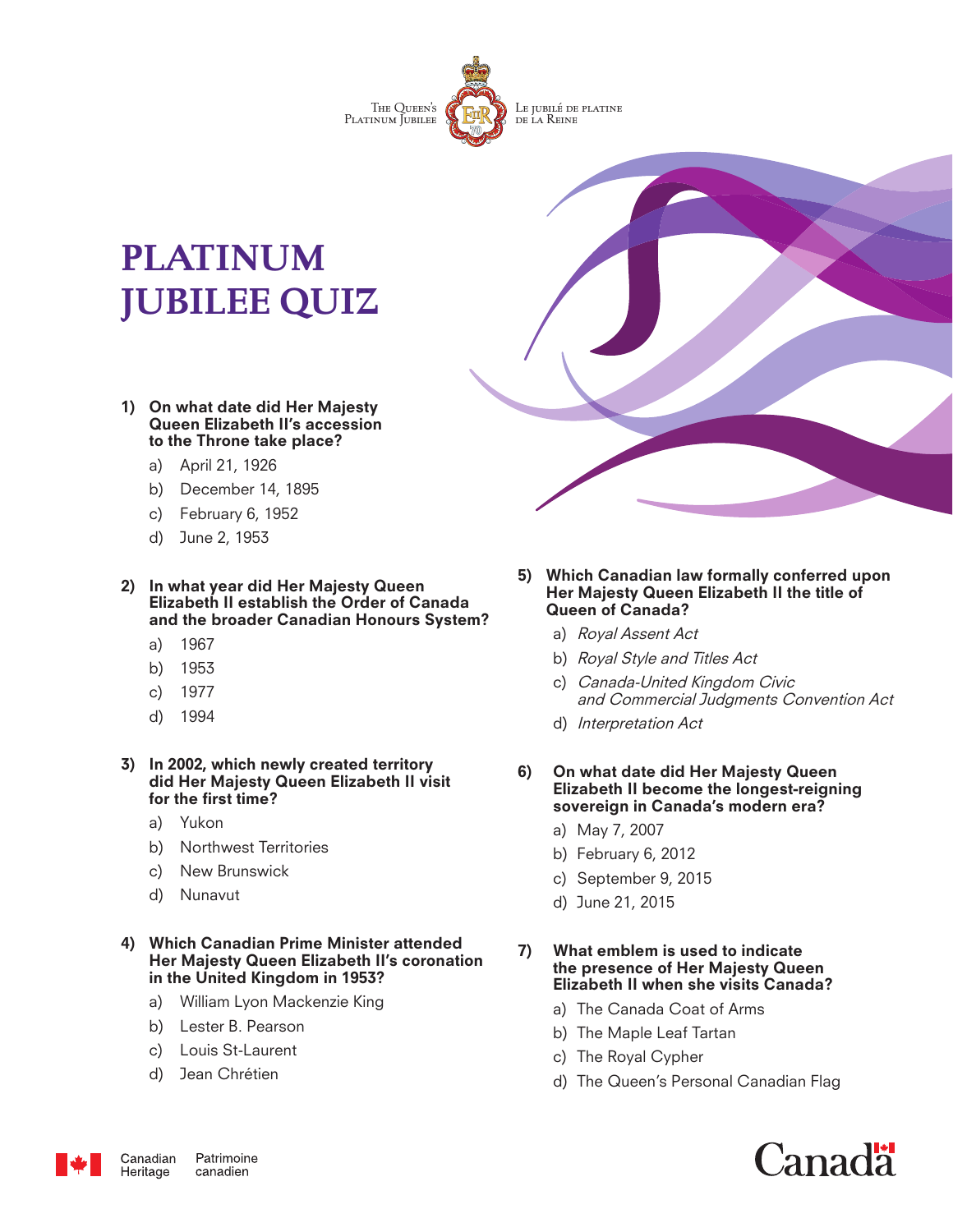

# **PLATINUM JUBILEE QUIZ**

- 1) On what date did Her Majesty Queen Elizabeth II's accession to the Throne take place?
	- a) April 21, 1926
	- b) December 14, 1895
	- c) February 6, 1952
	- d) June 2, 1953

2) In what year did Her Majesty Queen Elizabeth II establish the Order of Canada and the broader Canadian Honours System?

- a) 1967
- b) 1953
- c) 1977
- d) 1994

3) In 2002, which newly created territory did Her Majesty Queen Elizabeth II visit for the first time?

- a) Yukon
- b) Northwest Territories
- c) New Brunswick
- d) Nunavut

#### 4) Which Canadian Prime Minister attended Her Majesty Queen Elizabeth II's coronation in the United Kingdom in 1953?

- a) William Lyon Mackenzie King
- b) Lester B. Pearson
- c) Louis St-Laurent
- d) Jean Chrétien
- 5) Which Canadian law formally conferred upon Her Majesty Queen Elizabeth II the title of Queen of Canada?
	- a) Royal Assent Act
	- b) Royal Style and Titles Act
	- c) Canada-United Kingdom Civic and Commercial Judgments Convention Act
	- d) Interpretation Act
- 6) On what date did Her Majesty Queen Elizabeth II become the longest-reigning sovereign in Canada's modern era?
	- a) May 7, 2007
	- b) February 6, 2012
	- c) September 9, 2015
	- d) June 21, 2015

#### 7) What emblem is used to indicate the presence of Her Majesty Queen Elizabeth II when she visits Canada?

- a) The Canada Coat of Arms
- b) The Maple Leaf Tartan
- c) The Royal Cypher
- d) The Queen's Personal Canadian Flag